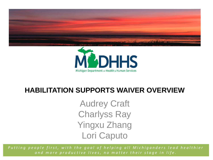



#### **HABILITATION SUPPORTS WAIVER OVERVIEW**

Audrey Craft Charlyss Ray Yingxu Zhang Lori Caputo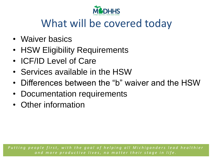

## What will be covered today

- Waiver basics
- HSW Eligibility Requirements
- ICF/ID Level of Care
- Services available in the HSW
- Differences between the "b" waiver and the HSW
- Documentation requirements
- Other information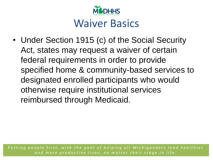

#### Waiver Basics

• Under Section 1915 (c) of the Social Security Act, states may request a waiver of certain federal requirements in order to provide specified home & community-based services to designated enrolled participants who would otherwise require institutional services reimbursed through Medicaid.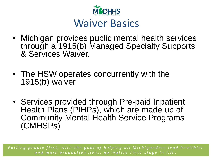

#### Waiver Basics

- Michigan provides public mental health services through a 1915(b) Managed Specialty Supports & Services Waiver
- The HSW operates concurrently with the 1915(b) waiver
- Services provided through Pre-paid Inpatient Health Plans (PIHPs), which are made up of Community Mental Health Service Programs (CMHSPs)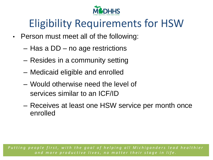

# Eligibility Requirements for HSW

- Person must meet all of the following:
	- Has a DD no age restrictions
	- Resides in a community setting
	- Medicaid eligible and enrolled
	- Would otherwise need the level of services similar to an ICF/ID
	- Receives at least one HSW service per month once enrolled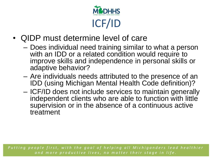

- QIDP must determine level of care
	- Does individual need training similar to what a person with an IDD or a related condition would require to improve skills and independence in personal skills or adaptive behavior?
	- Are individuals needs attributed to the presence of an IDD (using Michigan Mental Health Code definition)?
	- ICF/ID does not include services to maintain generally independent clients who are able to function with little supervision or in the absence of a continuous active treatment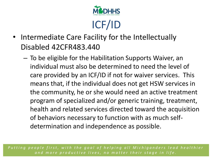

- Intermediate Care Facility for the Intellectually Disabled 42CFR483.440
	- To be eligible for the Habilitation Supports Waiver, an individual must also be determined to need the level of care provided by an ICF/ID if not for waiver services. This means that, if the individual does not get HSW services in the community, he or she would need an active treatment program of specialized and/or generic training, treatment, health and related services directed toward the acquisition of behaviors necessary to function with as much selfdetermination and independence as possible.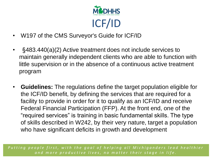

- W197 of the CMS Surveyor's Guide for ICF/ID
- §483.440(a)(2) Active treatment does not include services to maintain generally independent clients who are able to function with little supervision or in the absence of a continuous active treatment program
- **Guidelines:** The regulations define the target population eligible for the ICF/ID benefit, by defining the services that are required for a facility to provide in order for it to qualify as an ICF/ID and receive Federal Financial Participation (FFP). At the front end, one of the "required services" is training in basic fundamental skills. The type of skills described in W242, by their very nature, target a population who have significant deficits in growth and development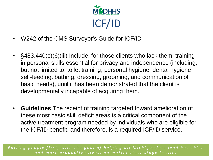

- W242 of the CMS Surveyor's Guide for ICF/ID
- §483.440(c)(6)(iii) Include, for those clients who lack them, training in personal skills essential for privacy and independence (including, but not limited to, toilet training, personal hygiene, dental hygiene, self-feeding, bathing, dressing, grooming, and communication of basic needs), until it has been demonstrated that the client is developmentally incapable of acquiring them.
- **Guidelines** The receipt of training targeted toward amelioration of these most basic skill deficit areas is a critical component of the active treatment program needed by individuals who are eligible for the ICF/ID benefit, and therefore, is a required ICF/ID service.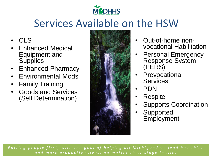

## Services Available on the HSW

- CLS
- Enhanced Medical Equipment and **Supplies**
- Enhanced Pharmacy
- Environmental Mods
- Family Training
- Goods and Services (Self Determination)



- Out-of-home nonvocational Habilitation
- Personal Emergency Response System (PERS)
- Prevocational **Services**
- PDN
- Respite
- Supports Coordination
- **Supported Employment**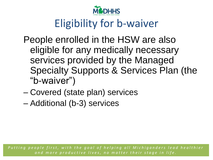

# Eligibility for b-waiver

- People enrolled in the HSW are also eligible for any medically necessary services provided by the Managed Specialty Supports & Services Plan (the "b-waiver")
- Covered (state plan) services
- Additional (b-3) services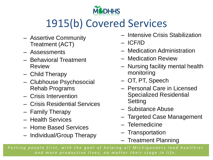

# 1915(b) Covered Services

- Assertive Community Treatment (ACT)
- Assessments
- Behavioral Treatment Review
- Child Therapy
- Clubhouse Psychosocial Rehab Programs
- Crisis Intervention
- Crisis Residential Services
- Family Therapy
- Health Services
- Home Based Services
- Individual/Group Therapy
- Intensive Crisis Stabilization
- ICF/ID
- Medication Administration
- Medication Review
- Nursing facility mental health monitoring
- OT, PT, Speech
- Personal Care in Licensed Specialized Residential **Setting**
- Substance Abuse
- Targeted Case Management
- Telemedicine
- Transportation
- Treatment Planning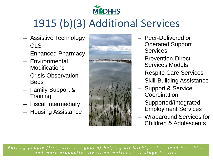

# 1915 (b)(3) Additional Services

- Assistive Technology
- CLS
- Enhanced Pharmacy
- Environmental **Modifications**
- Crisis Observation Beds
- Family Support & **Training**
- Fiscal Intermediary
- Housing Assistance



- Peer-Delivered or Operated Support **Services**
- Prevention-Direct Services Models
- Respite Care Services
- Skill-Building Assistance
- Support & Service **Coordination**
- Supported/Integrated Employment Services
- Wraparound Services for Children & Adolescents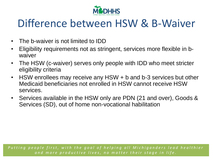

### Difference between HSW & B-Waiver

- The b-waiver is not limited to IDD
- Eligibility requirements not as stringent, services more flexible in bwaiver
- The HSW (c-waiver) serves only people with IDD who meet stricter eligibility criteria
- HSW enrollees may receive any HSW + b and b-3 services but other Medicaid beneficiaries not enrolled in HSW cannot receive HSW services.
- Services available in the HSW only are PDN (21 and over), Goods & Services (SD), out of home non-vocational habilitation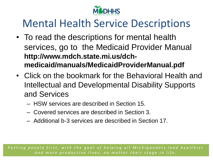

## Mental Health Service Descriptions

- To read the descriptions for mental health services, go to the Medicaid Provider Manual **http://www.mdch.state.mi.us/dchmedicaid/manuals/MedicaidProviderManual.pdf**
- Click on the bookmark for the Behavioral Health and Intellectual and Developmental Disability Supports and Services
	- HSW services are described in Section 15.
	- Covered services are described in Section 3.
	- Additional b-3 services are described in Section 17.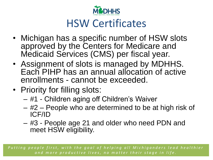

### HSW Certificates

- Michigan has a specific number of HSW slots approved by the Centers for Medicare and Medicaid Services (CMS) per fiscal year.
- Assignment of slots is managed by MDHHS. Each PIHP has an annual allocation of active enrollments - cannot be exceeded.
- Priority for filling slots:
	- #1 Children aging off Children's Waiver
	- #2 People who are determined to be at high risk of ICF/ID
	- #3 People age 21 and older who need PDN and meet HSW eligibility.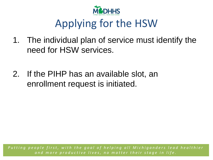

# Applying for the HSW

- 1. The individual plan of service must identify the need for HSW services.
- 2. If the PIHP has an available slot, an enrollment request is initiated.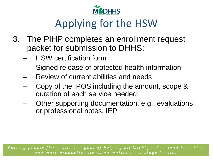

# Applying for the HSW

- 3. The PIHP completes an enrollment request packet for submission to DHHS:
	- HSW certification form
	- Signed release of protected health information
	- Review of current abilities and needs
	- Copy of the IPOS including the amount, scope & duration of each service needed
	- Other supporting documentation, e.g., evaluations or professional notes. IEP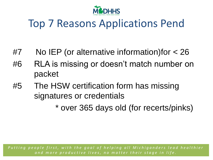

## Top 7 Reasons Applications Pend

- #7 No IEP (or alternative information)for < 26
- #6 RLA is missing or doesn't match number on packet
- #5 The HSW certification form has missing signatures or credentials

\* over 365 days old (for recerts/pinks)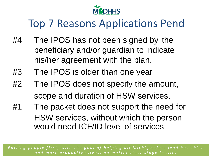

# Top 7 Reasons Applications Pend

- #4 The IPOS has not been signed by the beneficiary and/or guardian to indicate his/her agreement with the plan.
- #3 The IPOS is older than one year
- #2 The IPOS does not specify the amount, scope and duration of HSW services.
- #1 The packet does not support the need for HSW services, without which the person would need ICF/ID level of services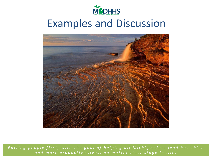

#### Examples and Discussion

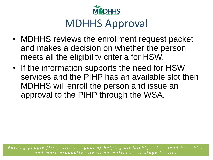

### MDHHS Approval

- MDHHS reviews the enrollment request packet and makes a decision on whether the person meets all the eligibility criteria for HSW.
- If the information supports the need for HSW services and the PIHP has an available slot then MDHHS will enroll the person and issue an approval to the PIHP through the WSA.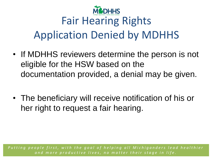

# Fair Hearing Rights Application Denied by MDHHS

- If MDHHS reviewers determine the person is not eligible for the HSW based on the documentation provided, a denial may be given.
- The beneficiary will receive notification of his or her right to request a fair hearing.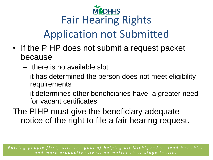

# Application not Submitted

- If the PIHP does not submit a request packet because
	- there is no available slot
	- it has determined the person does not meet eligibility requirements
	- it determines other beneficiaries have a greater need for vacant certificates
- The PIHP must give the beneficiary adequate notice of the right to file a fair hearing request.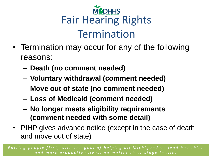

- Termination may occur for any of the following reasons:
	- **Death (no comment needed)**
	- **Voluntary withdrawal (comment needed)**
	- **Move out of state (no comment needed)**
	- **Loss of Medicaid (comment needed)**
	- **No longer meets eligibility requirements (comment needed with some detail)**
- PIHP gives advance notice (except in the case of death and move out of state)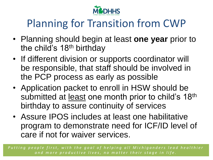

## Planning for Transition from CWP

- Planning should begin at least **one year** prior to the child's 18<sup>th</sup> birthday
- If different division or supports coordinator will be responsible, that staff should be involved in the PCP process as early as possible
- Application packet to enroll in HSW should be submitted at least one month prior to child's 18<sup>th</sup> birthday to assure continuity of services
- Assure IPOS includes at least one habilitative program to demonstrate need for ICF/ID level of care if not for waiver services.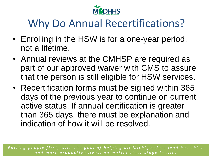

## Why Do Annual Recertifications?

- Enrolling in the HSW is for a one-year period, not a lifetime.
- Annual reviews at the CMHSP are required as part of our approved waiver with CMS to assure that the person is still eligible for HSW services.
- Recertification forms must be signed within 365 days of the previous year to continue on current active status. If annual certification is greater than 365 days, there must be explanation and indication of how it will be resolved.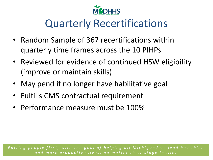

## Quarterly Recertifications

- Random Sample of 367 recertifications within quarterly time frames across the 10 PIHPs
- Reviewed for evidence of continued HSW eligibility (improve or maintain skills)
- May pend if no longer have habilitative goal
- Fulfills CMS contractual requirement
- Performance measure must be 100%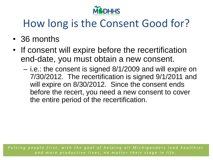

# How long is the Consent Good for?

- 36 months
- If consent will expire before the recertification end-date, you must obtain a new consent.
	- i.e.: the consent is signed 8/1/2009 and will expire on 7/30/2012. The recertification is signed 9/1/2011 and will expire on 8/30/2012. Since the consent ends before the recert, you need a new consent to cover the entire period of the recertification.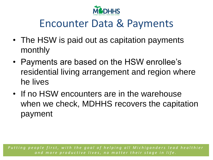

### Encounter Data & Payments

- The HSW is paid out as capitation payments monthly
- Payments are based on the HSW enrollee's residential living arrangement and region where he lives
- If no HSW encounters are in the warehouse when we check, MDHHS recovers the capitation payment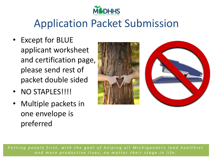

## Application Packet Submission

- Except for BLUE applicant worksheet and certification page, please send rest of packet double sided
- NO STAPLES!!!!
- Multiple packets in one envelope is preferred

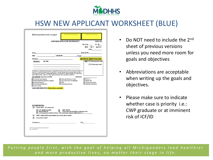

#### HSW NEW APPLICANT WORKSHEET (BLUE)

|                   |                                                            | <b>HSW NEW APPLICANT WORKSHEET</b>                                                                                                                                                                                                |                   | $PM \Box$ S $\Box$                                                                                                                                                                                                             |
|-------------------|------------------------------------------------------------|-----------------------------------------------------------------------------------------------------------------------------------------------------------------------------------------------------------------------------------|-------------------|--------------------------------------------------------------------------------------------------------------------------------------------------------------------------------------------------------------------------------|
|                   |                                                            |                                                                                                                                                                                                                                   |                   | Res Code:<br>FY: 20                                                                                                                                                                                                            |
|                   |                                                            |                                                                                                                                                                                                                                   |                   | $\Box$ M $\,$ $\Box$ F Age<br>$DOB_{\sim}$                                                                                                                                                                                     |
|                   |                                                            |                                                                                                                                                                                                                                   |                   |                                                                                                                                                                                                                                |
|                   |                                                            |                                                                                                                                                                                                                                   |                   | Medicaid ID#                                                                                                                                                                                                                   |
| PIHP:             |                                                            | CMH/MCPN: CMH/MCPN:                                                                                                                                                                                                               |                   |                                                                                                                                                                                                                                |
|                   | Residence:                                                 |                                                                                                                                                                                                                                   |                   | CWP Grad <b>Other Priority Group</b>                                                                                                                                                                                           |
| <b>DIAGNOSIS:</b> | DD / SMI                                                   |                                                                                                                                                                                                                                   |                   | <b>MEDS</b><br># anti-psychotic meds                                                                                                                                                                                           |
|                   |                                                            |                                                                                                                                                                                                                                   |                   | # other psych meds                                                                                                                                                                                                             |
|                   |                                                            |                                                                                                                                                                                                                                   |                   |                                                                                                                                                                                                                                |
|                   |                                                            | [Schizophrenia, Schizophreniform Disorder, or Schizoaffective Disorder (ICD code 295.xx); Delusional Disorder (ICD<br>oode 297.1); Psychotic Disorder NOS (ICD code 298.9); Psychotic Disorder due to a general medical condition |                   |                                                                                                                                                                                                                                |
|                   |                                                            | (ICD codes 293.81 or 293.82); Dementia with delusions (ICD code 294.42); Bipolar I Disorder (ICD codes 296.0x,                                                                                                                    |                   |                                                                                                                                                                                                                                |
|                   | HSW SERVICES Specified in the IPOS                         | 295.4x, 295.5x, 295.6x, or 296.7); or Major Depressive Disorder (ICD codes 295.2x and 295.3x)]                                                                                                                                    | <b>IPOS DATE:</b> |                                                                                                                                                                                                                                |
|                   | Community Living Supports                                  | Goods and Services (s-d only)                                                                                                                                                                                                     |                   | $\Box$ PDN (21+)                                                                                                                                                                                                               |
|                   | Enhanced Medical Equipment & Supplies<br>Enhanced Pharmacy | Out of Home Non-Voc Habilitation<br>$\Box$ PERS                                                                                                                                                                                   |                   | Respite Care<br>Supports Coordination                                                                                                                                                                                          |
|                   | Environmental Modifications                                | Prevocational Services                                                                                                                                                                                                            |                   | Supported Employment                                                                                                                                                                                                           |
| Family Training   |                                                            |                                                                                                                                                                                                                                   |                   |                                                                                                                                                                                                                                |
|                   |                                                            |                                                                                                                                                                                                                                   |                   |                                                                                                                                                                                                                                |
|                   | <b>GOALS AND OBJECTIVES (Abbreviations acceptable):</b>    |                                                                                                                                                                                                                                   |                   |                                                                                                                                                                                                                                |
|                   |                                                            |                                                                                                                                                                                                                                   |                   |                                                                                                                                                                                                                                |
|                   |                                                            |                                                                                                                                                                                                                                   |                   |                                                                                                                                                                                                                                |
|                   |                                                            |                                                                                                                                                                                                                                   |                   |                                                                                                                                                                                                                                |
|                   |                                                            |                                                                                                                                                                                                                                   |                   |                                                                                                                                                                                                                                |
|                   |                                                            |                                                                                                                                                                                                                                   |                   |                                                                                                                                                                                                                                |
|                   | <b>RECOMMENDATION:</b>                                     |                                                                                                                                                                                                                                   |                   |                                                                                                                                                                                                                                |
| ⊓                 | Enroll in HSW - all 5 criteria met)                        |                                                                                                                                                                                                                                   |                   |                                                                                                                                                                                                                                |
|                   | LOC Applied Accurately<br>Meets ICF/IID LOC                | QIDP Certified<br>Given Choice between HSW or institutional care                                                                                                                                                                  |                   |                                                                                                                                                                                                                                |
|                   |                                                            | LOC Documented on HSW Cert Form  Date Certification Signed by QIDP (Section 2)                                                                                                                                                    |                   |                                                                                                                                                                                                                                |
| п                 |                                                            | PEND: Additional Information Needed (see reverse side for details)                                                                                                                                                                |                   |                                                                                                                                                                                                                                |
| ⊓                 | Do not Enroll in HSW                                       |                                                                                                                                                                                                                                   |                   |                                                                                                                                                                                                                                |
|                   |                                                            |                                                                                                                                                                                                                                   |                   | Date: the contract of the contract of the contract of the contract of the contract of the contract of the contract of the contract of the contract of the contract of the contract of the contract of the contract of the cont |
|                   |                                                            |                                                                                                                                                                                                                                   |                   |                                                                                                                                                                                                                                |
| Rv 3/09/2016      | <b>HSW New Applicant Worksheet</b>                         |                                                                                                                                                                                                                                   |                   |                                                                                                                                                                                                                                |

- Do NOT need to include the 2<sup>nd</sup> sheet of previous versions unless you need more room for goals and objectives
- Abbreviations are acceptable when writing up the goals and objectives.
- Please make sure to indicate whether case is priority i.e.: CWP graduate or at imminent risk of ICF/ID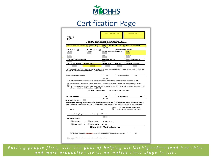

#### Certification Page

|                                                                                                                                                                                                                                                                                                                                                                                                                                                 |                                                                      |                                                     | HABILITATION SUPPORTS WAIVER (HSW) ELIGIBILITY CERTIFICATION       |                                      |      |
|-------------------------------------------------------------------------------------------------------------------------------------------------------------------------------------------------------------------------------------------------------------------------------------------------------------------------------------------------------------------------------------------------------------------------------------------------|----------------------------------------------------------------------|-----------------------------------------------------|--------------------------------------------------------------------|--------------------------------------|------|
| IF PRIORITY PROCESSING CHECK ONE:                                                                                                                                                                                                                                                                                                                                                                                                               | Age off CWP (age 18)                                                 | Age-off State Plan PDN (age 21)<br><b>SECTION 1</b> |                                                                    | At imminent risk of ICF/IID          |      |
| Initial Certification                                                                                                                                                                                                                                                                                                                                                                                                                           | Annual Recertification                                               |                                                     | Next Recertification Due Date:                                     |                                      |      |
| Last Name                                                                                                                                                                                                                                                                                                                                                                                                                                       | First Name                                                           | Medicald # wust by 10-state - include issuing seros |                                                                    | WSA#                                 |      |
| Address                                                                                                                                                                                                                                                                                                                                                                                                                                         |                                                                      | City Zip                                            |                                                                    | Date Of Birth                        |      |
| DH5 License # For Residence (If Applicable)                                                                                                                                                                                                                                                                                                                                                                                                     | Prepaid Inpatient Health Plan                                        |                                                     |                                                                    |                                      |      |
|                                                                                                                                                                                                                                                                                                                                                                                                                                                 |                                                                      |                                                     |                                                                    | County Of Financial Responsibility   |      |
| #Of Licensed Beds At Residence   Enrolled in MI Health Link                                                                                                                                                                                                                                                                                                                                                                                     |                                                                      | Enrolled in MI Choice                               | Medicaid Eligible                                                  | Date Medicaid Eligibility Venhed     |      |
|                                                                                                                                                                                                                                                                                                                                                                                                                                                 |                                                                      |                                                     |                                                                    |                                      |      |
| Support Coordinator Signature & Credentials                                                                                                                                                                                                                                                                                                                                                                                                     |                                                                      | Date                                                | Other PIHP Staff (Optional)                                        |                                      | Date |
| Based on the results of the comprehensive evaluation and supporting documentation, the following Waiver eligibility requirements are met:<br>This individual has a developmental disability as defined in the Developmental Disabilities Assistance and Bill of Rights Act (P.L.106-402).<br>If not for the availability of home and community-based services, this individual would require the level of care provided in an intermediate care | facilities for Individuals with Intellectual Disabilities (ICF/IID). | <b>SECTION 2</b>                                    |                                                                    |                                      |      |
|                                                                                                                                                                                                                                                                                                                                                                                                                                                 | WAIVER RECOMMENDED                                                   |                                                     | WAIVER NOT RECOMMENDED                                             |                                      |      |
|                                                                                                                                                                                                                                                                                                                                                                                                                                                 |                                                                      | Date                                                | PIHP Designee (Optional)                                           |                                      | Date |
|                                                                                                                                                                                                                                                                                                                                                                                                                                                 |                                                                      | <b>SECTION 3</b>                                    |                                                                    |                                      |      |
|                                                                                                                                                                                                                                                                                                                                                                                                                                                 |                                                                      |                                                     |                                                                    |                                      |      |
| Signature                                                                                                                                                                                                                                                                                                                                                                                                                                       |                                                                      | Date                                                | $\Box$ Self<br>Telephone Consent Obtained (attach written consent) | Il Legal Guardian or Parent of minor |      |
| Witness (required only if signature above made by a mark)                                                                                                                                                                                                                                                                                                                                                                                       |                                                                      | Date                                                |                                                                    |                                      |      |
| <b>WAIVER ENROLLMENT:</b>                                                                                                                                                                                                                                                                                                                                                                                                                       |                                                                      | SECTION 4                                           |                                                                    |                                      |      |
| QIDP Signature & Credentials<br>Previous Consent Expires:<br>I understand that I may accept or reject waiver services instead of services provided in an ICF/IID and that I may withdraw this consent at any time in<br>writing. This consent may not exceed 36 months. I accept reject services as offered under the Habilitation Supports Waiver (HSW).<br><b>ENROLLED</b><br>œ                                                               | <b>RECERTIFIED</b>                                                   | <b>EFFECTIVE DATE:</b>                              |                                                                    |                                      |      |
| NOT ELIGIBLE<br>or                                                                                                                                                                                                                                                                                                                                                                                                                              | <b>DISENROLLED</b>                                                   | <b>REASON:</b>                                      |                                                                    |                                      |      |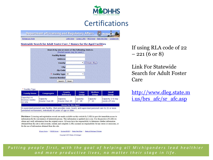

#### **Certifications**

**Department of Licensing and Regulatory Affairs B** Michigants

Michigan.gov Home

LARA Home | Contact LARA | BHCS Home | State Web Sites |

Statewide Search for Adult Foster Care / Homes for the Aged Facilities



\* Facility Type

| <b>Family Home</b>                           | <b>Congregate</b>                                                                                          | <b>County</b><br><b>Infirmary</b> | Large<br><b>Group</b> | <b>Medium</b><br><b>Group</b> | <b>Small</b><br><b>Group</b>        |
|----------------------------------------------|------------------------------------------------------------------------------------------------------------|-----------------------------------|-----------------------|-------------------------------|-------------------------------------|
| Capacity 1-6<br>licensee resides<br>lon-site | Capacity<br>Greater than 20                                                                                | Capacity<br>Greater than 20       | Capacity<br>$13 - 20$ | Capacity<br>$7 - 12$          | Capacity 1-6 may<br>reside off-site |
|                                              |                                                                                                            | <b>Home for the Aged</b>          |                       |                               |                                     |
|                                              | A supervised personal care facility, that provides room, board, and supervised personal care to 21 or more |                                   |                       |                               |                                     |

unrelated nontransient, individuals 60 years of age or older.

Disclaimer: Licensing and registration records are made available on this website by LARA to provide immediate access to information for the convenience of interested persons. This information is updated once a day. It is the practice of LARA to obtain and verify information from the original source. All users have the responsibility to determine whether information obtained from this site is still accurate, current, and complete. LARA assumes no responsibility for any errors or omissions, or for the use of information obtained from this site.

MI.gov Home | BHCS Home | Contact BHCS | State Web Sites | State of Michigan Policies

Copyright 2016 State of Michigan

If using RLA code of 22  $-221(6 \text{ or } 8)$ 

Link For Statewide Search for Adult Foster Care

[http://www.dleg.state.m](http://www.dleg.state.mi.us/brs_afc/sr_afc.asp) i.us/brs afc/sr afc.asp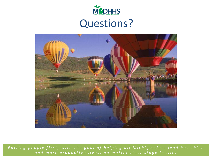

#### Questions?